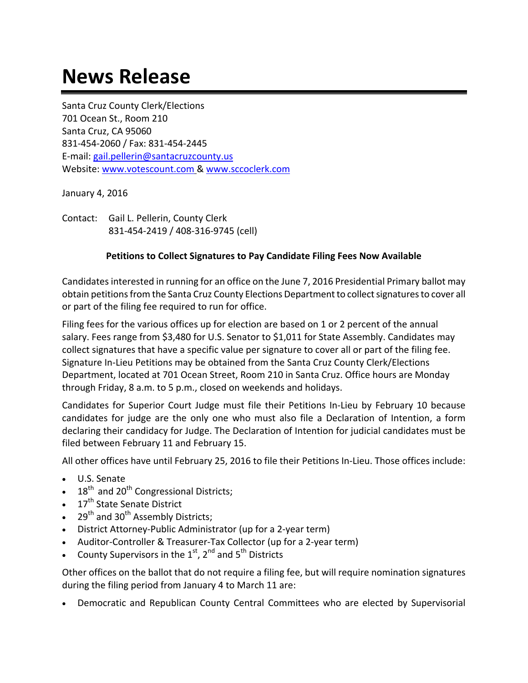## **News Release**

Santa Cruz County Clerk/Elections 701 Ocean St., Room 210 Santa Cruz, CA 95060 831‐454‐2060 / Fax: 831‐454‐2445 E‐mail: gail.pellerin@santacruzcounty.us Website: www.votescount.com & www.sccoclerk.com

January 4, 2016

Contact: Gail L. Pellerin, County Clerk 831‐454‐2419 / 408‐316‐9745 (cell)

## **Petitions to Collect Signatures to Pay Candidate Filing Fees Now Available**

Candidates interested in running for an office on the June 7, 2016 Presidential Primary ballot may obtain petitions from the Santa Cruz County Elections Department to collect signatures to cover all or part of the filing fee required to run for office.

Filing fees for the various offices up for election are based on 1 or 2 percent of the annual salary. Fees range from \$3,480 for U.S. Senator to \$1,011 for State Assembly. Candidates may collect signatures that have a specific value per signature to cover all or part of the filing fee. Signature In‐Lieu Petitions may be obtained from the Santa Cruz County Clerk/Elections Department, located at 701 Ocean Street, Room 210 in Santa Cruz. Office hours are Monday through Friday, 8 a.m. to 5 p.m., closed on weekends and holidays.

Candidates for Superior Court Judge must file their Petitions In‐Lieu by February 10 because candidates for judge are the only one who must also file a Declaration of Intention, a form declaring their candidacy for Judge. The Declaration of Intention for judicial candidates must be filed between February 11 and February 15.

All other offices have until February 25, 2016 to file their Petitions In‐Lieu. Those offices include:

- U.S. Senate
- $18<sup>th</sup>$  and 20<sup>th</sup> Congressional Districts;
- $\cdot$  17<sup>th</sup> State Senate District
- $\bullet$  29<sup>th</sup> and 30<sup>th</sup> Assembly Districts;
- District Attorney‐Public Administrator (up for a 2‐year term)
- Auditor‐Controller & Treasurer‐Tax Collector (up for a 2‐year term)
- County Supervisors in the  $1^{st}$ ,  $2^{nd}$  and  $5^{th}$  Districts

Other offices on the ballot that do not require a filing fee, but will require nomination signatures during the filing period from January 4 to March 11 are:

Democratic and Republican County Central Committees who are elected by Supervisorial